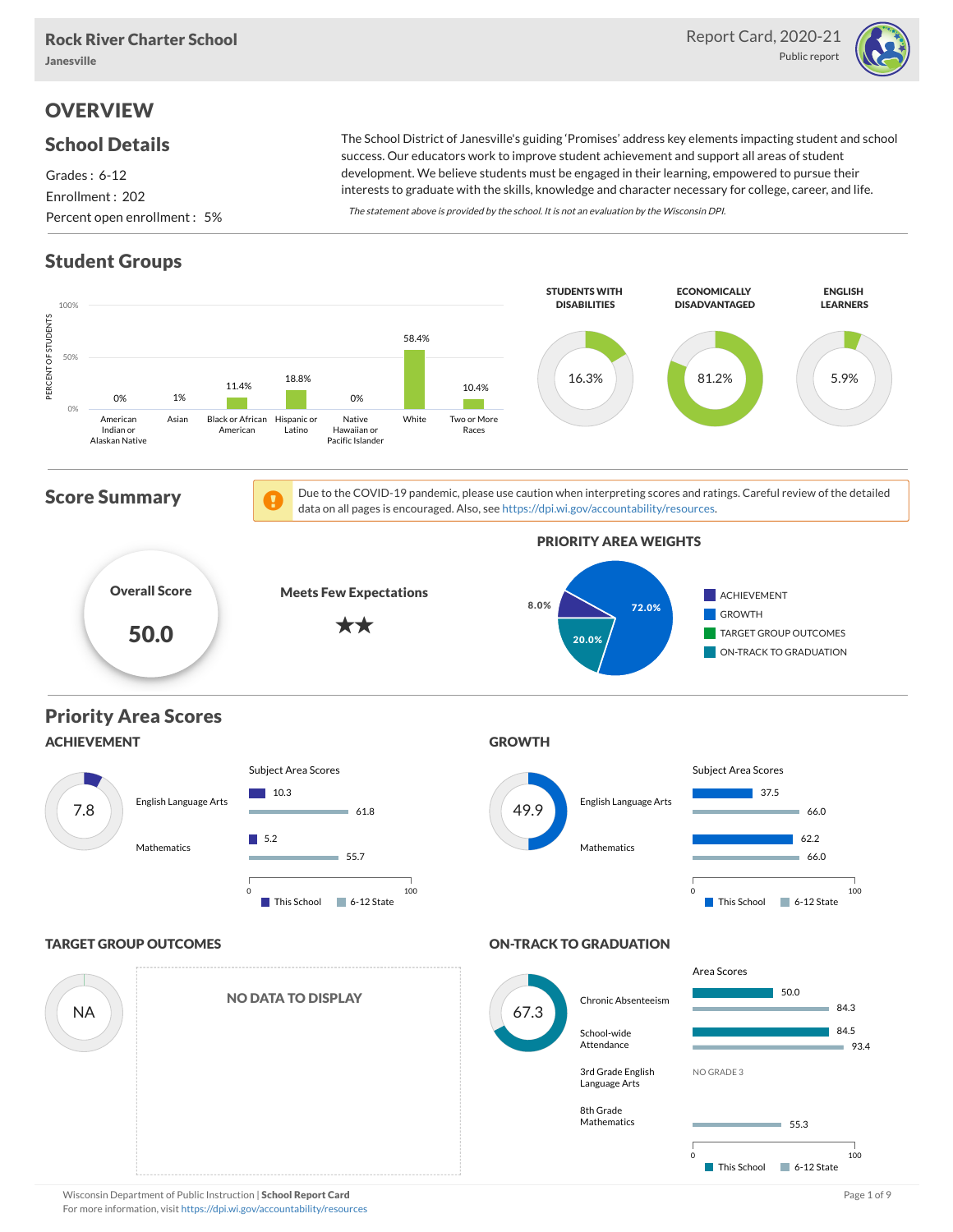

## **OVERVIEW**

#### School Details

Grades : 6-12 Enrollment : 202 Percent open enrollment : 5%

The School District of Janesville's guiding 'Promises' address key elements impacting student and school success. Our educators work to improve student achievement and support all areas of student development. We believe students must be engaged in their learning, empowered to pursue their interests to graduate with the skills, knowledge and character necessary for college, career, and life.

The statement above is provided by the school. It is not an evaluation by the Wisconsin DPI.

## Student Groups



Wisconsin Department of Public Instruction | School Report Card Page 1 of 9 and Page 1 of 9 and Page 1 of 9 and Page 1 of 9 and Page 1 of 9 and Page 1 of 9 and Page 1 of 9 and Page 1 of 9 and Page 1 of 9 and Page 1 of 9 an For more information, visit <https://dpi.wi.gov/accountability/resources>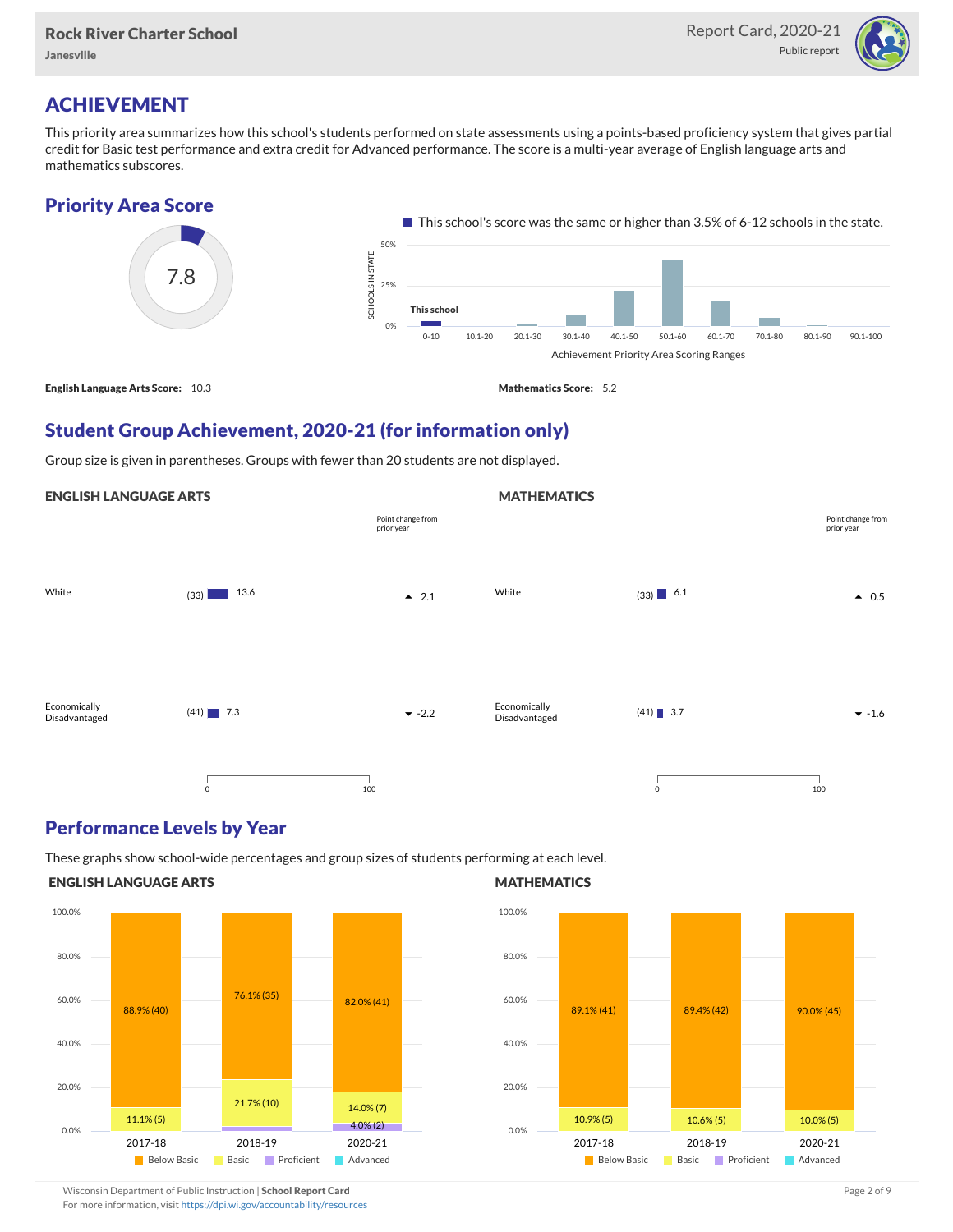

# ACHIEVEMENT

This priority area summarizes how this school's students performed on state assessments using a points-based proficiency system that gives partial credit for Basic test performance and extra credit for Advanced performance. The score is a multi-year average of English language arts and mathematics subscores.





### Student Group Achievement, 2020-21 (for information only)

Group size is given in parentheses. Groups with fewer than 20 students are not displayed.

#### ENGLISH LANGUAGE ARTS



#### Performance Levels by Year

These graphs show school-wide percentages and group sizes of students performing at each level.

#### ENGLISH LANGUAGE ARTS



#### **MATHEMATICS**

**MATHEMATICS** 



Wisconsin Department of Public Instruction | School Report Card Page 2 of 9 and 2 of 9 and 2 of 9 and 2 of 9 and 2 of 9 and 2 of 9 and 2 of 9 and 2 of 9 and 2 of 9 and 2 of 9 and 2 of 9 and 2 of 9 and 2 of 9 and 2 of 9 and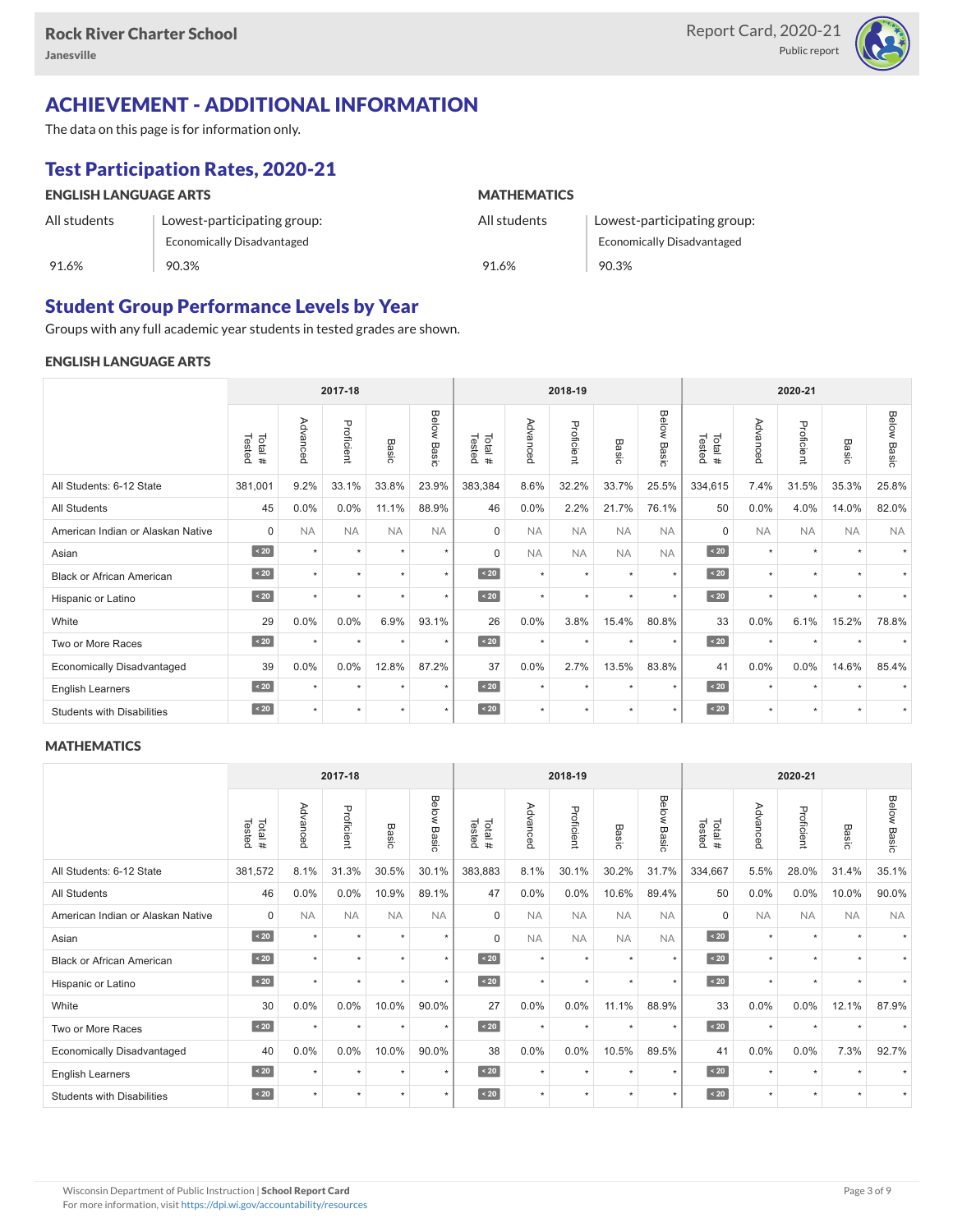

## ACHIEVEMENT - ADDITIONAL INFORMATION

The data on this page is for information only.

## Test Participation Rates, 2020-21

| <b>ENGLISH LANGUAGE ARTS</b> |                             | <b>MATHEMATICS</b> |                                   |  |  |  |  |
|------------------------------|-----------------------------|--------------------|-----------------------------------|--|--|--|--|
| All students                 | Lowest-participating group: | All students       | Lowest-participating group:       |  |  |  |  |
|                              | Economically Disadvantaged  |                    | <b>Economically Disadvantaged</b> |  |  |  |  |
| 91.6%                        | 90.3%                       | 91.6%              | 90.3%                             |  |  |  |  |

### Student Group Performance Levels by Year

Groups with any full academic year students in tested grades are shown.

#### ENGLISH LANGUAGE ARTS

|                                   |                  | 2017-18   |            |           |                    |                  | 2018-19   |            |           |                | 2020-21          |           |            |           |                    |
|-----------------------------------|------------------|-----------|------------|-----------|--------------------|------------------|-----------|------------|-----------|----------------|------------------|-----------|------------|-----------|--------------------|
|                                   | Tested<br>Total# | Advanced  | Proficient | Basic     | <b>Below Basic</b> | Tested<br>Total# | Advanced  | Proficient | Basic     | Below<br>Basic | Tested<br>Total# | Advanced  | Proficient | Basic     | <b>Below Basic</b> |
| All Students: 6-12 State          | 381,001          | 9.2%      | 33.1%      | 33.8%     | 23.9%              | 383,384          | 8.6%      | 32.2%      | 33.7%     | 25.5%          | 334,615          | 7.4%      | 31.5%      | 35.3%     | 25.8%              |
| All Students                      | 45               | 0.0%      | 0.0%       | 11.1%     | 88.9%              | 46               | 0.0%      | 2.2%       | 21.7%     | 76.1%          | 50               | 0.0%      | 4.0%       | 14.0%     | 82.0%              |
| American Indian or Alaskan Native | $\Omega$         | <b>NA</b> | <b>NA</b>  | <b>NA</b> | <b>NA</b>          | $\Omega$         | <b>NA</b> | <b>NA</b>  | <b>NA</b> | <b>NA</b>      | $\Omega$         | <b>NA</b> | <b>NA</b>  | <b>NA</b> | <b>NA</b>          |
| Asian                             | $\sim 20$        | $\star$   | $\star$    | $\star$   | $\star$            | $\Omega$         | <b>NA</b> | <b>NA</b>  | <b>NA</b> | <b>NA</b>      | $\angle 20$      | $\star$   | $\star$    | $\ddot{}$ |                    |
| <b>Black or African American</b>  | $\sim 20$        | ٠         | ٠          |           | $\star$            | $\sim 20$        | $\star$   | $\star$    | $\star$   | $\star$        | $\sim 20$        | $\star$   | ٠          |           |                    |
| Hispanic or Latino                | $\angle 20$      | $\star$   | $\star$    | $\star$   | $\star$            | $\angle 20$      | $\star$   | $\star$    | $\star$   | $\star$        | $\angle 20$      | $\star$   | $\star$    | $\star$   |                    |
| White                             | 29               | 0.0%      | 0.0%       | 6.9%      | 93.1%              | 26               | 0.0%      | 3.8%       | 15.4%     | 80.8%          | 33               | 0.0%      | 6.1%       | 15.2%     | 78.8%              |
| Two or More Races                 | $\sim 20$        | $\star$   | $\star$    | $\star$   | $\star$            | $\sim 20$        | $\star$   | $\star$    | $\star$   | $\star$        | $\angle 20$      | $\star$   | $\star$    |           |                    |
| <b>Economically Disadvantaged</b> | 39               | 0.0%      | 0.0%       | 12.8%     | 87.2%              | 37               | 0.0%      | 2.7%       | 13.5%     | 83.8%          | 41               | 0.0%      | 0.0%       | 14.6%     | 85.4%              |
| <b>English Learners</b>           | $\sim 20$        | $\star$   | $\star$    | $\star$   | $\star$            | $\sim 20$        | $\star$   | $\star$    | $\ddot{}$ | $\star$        | $\angle 20$      | $\star$   | $\star$    |           |                    |
| <b>Students with Disabilities</b> | $\sim 20$        | $\star$   | $\star$    | $\star$   | $\star$            | $\sim 20$        | $\star$   | $\star$    | $\star$   | $\star$        | $\angle 20$      | $\star$   | $\star$    | $\star$   |                    |

#### **MATHEMATICS**

|                                   |                   | 2017-18   |            |           |                | 2018-19          |           |            |                      | 2020-21        |                  |           |            |                      |                |
|-----------------------------------|-------------------|-----------|------------|-----------|----------------|------------------|-----------|------------|----------------------|----------------|------------------|-----------|------------|----------------------|----------------|
|                                   | Tested<br>Total # | Advanced  | Proficient | Basic     | Below<br>Basic | Tested<br>Total# | Advanced  | Proficient | Basic                | Below<br>Basic | Tested<br>Total# | Advanced  | Proficient | Basic                | Below<br>Basic |
| All Students: 6-12 State          | 381,572           | 8.1%      | 31.3%      | 30.5%     | 30.1%          | 383,883          | 8.1%      | 30.1%      | 30.2%                | 31.7%          | 334,667          | 5.5%      | 28.0%      | 31.4%                | 35.1%          |
| <b>All Students</b>               | 46                | 0.0%      | 0.0%       | 10.9%     | 89.1%          | 47               | 0.0%      | 0.0%       | 10.6%                | 89.4%          | 50               | 0.0%      | 0.0%       | 10.0%                | 90.0%          |
| American Indian or Alaskan Native | $\Omega$          | <b>NA</b> | <b>NA</b>  | <b>NA</b> | <b>NA</b>      | $\Omega$         | <b>NA</b> | <b>NA</b>  | <b>NA</b>            | <b>NA</b>      | $\Omega$         | <b>NA</b> | <b>NA</b>  | <b>NA</b>            | <b>NA</b>      |
| Asian                             | $\sim 20$         | $\star$   | $\star$    | ÷         | $\star$        | $\Omega$         | <b>NA</b> | <b>NA</b>  | <b>NA</b>            | <b>NA</b>      | $\angle 20$      | $\star$   | $\star$    | $\ddot{}$            |                |
| <b>Black or African American</b>  | $\leq 20$         | $\ddot{}$ | $\star$    | ٠         | $\star$        | $\angle 20$      | $\star$   | $\star$    | $\star$              | $\star$        | $\sim 20$        | $\star$   | $\star$    |                      |                |
| Hispanic or Latino                | $\angle 20$       |           | $\star$    | $\star$   | $\star$        | $\angle 20$      | $\star$   | $\star$    |                      | $\star$        | $\sim 20$        | $\star$   | $\star$    |                      |                |
| White                             | 30                | 0.0%      | 0.0%       | 10.0%     | 90.0%          | 27               | 0.0%      | 0.0%       | 11.1%                | 88.9%          | 33               | 0.0%      | 0.0%       | 12.1%                | 87.9%          |
| Two or More Races                 | $\sim 20$         | $\star$   | $\star$    | $\star$   | $\star$        | $\sim 20$        | $\star$   | $\star$    | $\ddot{}$            | $\star$        | $\sim 20$        | $\star$   | $\star$    |                      |                |
| <b>Economically Disadvantaged</b> | 40                | 0.0%      | 0.0%       | 10.0%     | 90.0%          | 38               | 0.0%      | 0.0%       | 10.5%                | 89.5%          | 41               | 0.0%      | 0.0%       | 7.3%                 | 92.7%          |
| English Learners                  | $\sim 20$         | $\star$   | $\star$    | $\star$   | $\star$        | $\angle 20$      | $\star$   | $\star$    | $\star$              | $\star$        | $\sim 20$        | $\star$   | $\star$    | $\ddot{}$            |                |
| <b>Students with Disabilities</b> | $\sim 20$         | $\star$   | $\star$    | $\star$   | $\star$        | $\angle 20$      | $\star$   | $\star$    | $\ddot{\phantom{1}}$ | $\star$        | $\angle 20$      | $\star$   | $\star$    | $\ddot{\phantom{1}}$ |                |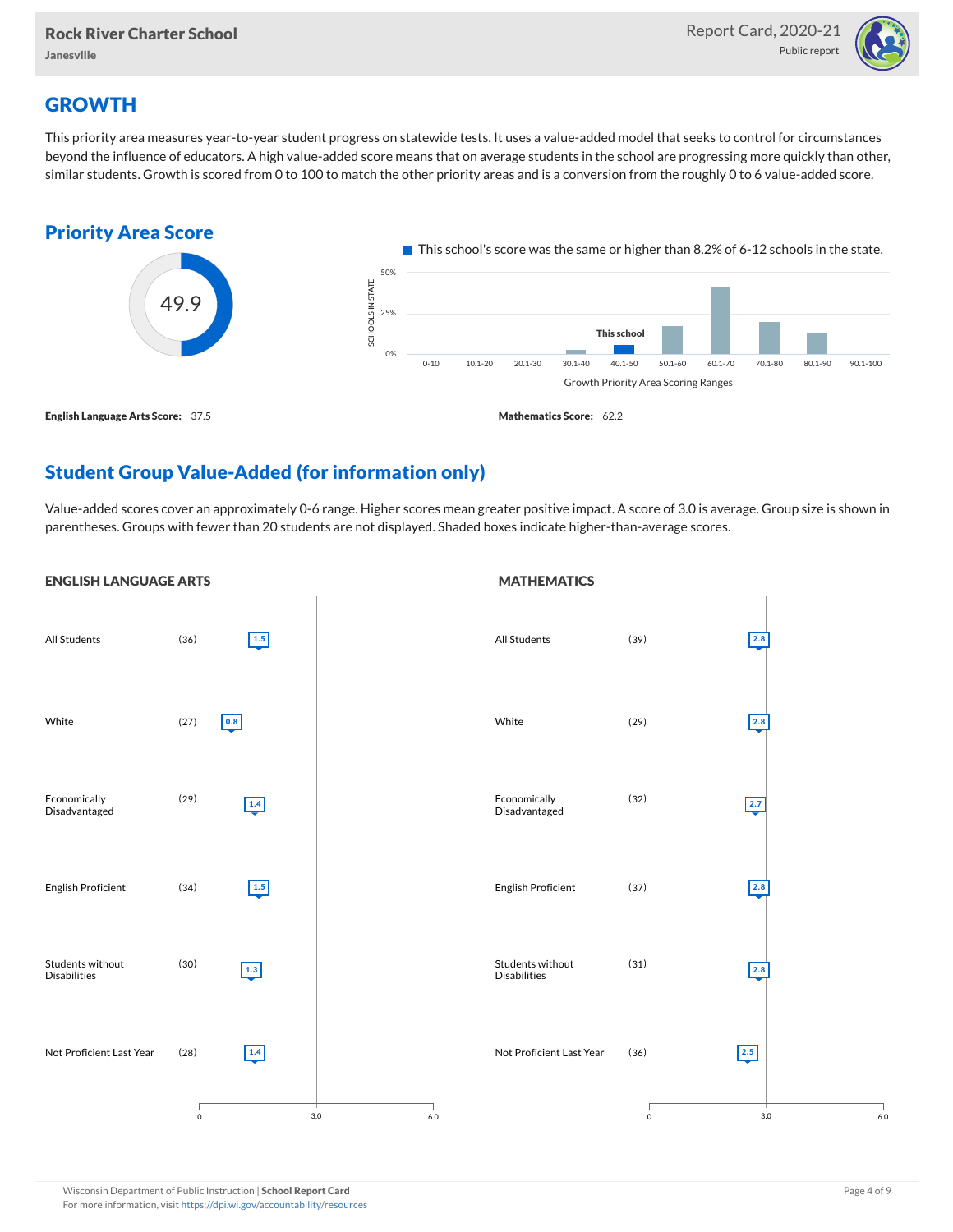

## **GROWTH**

This priority area measures year-to-year student progress on statewide tests. It uses a value-added model that seeks to control for circumstances beyond the influence of educators. A high value-added score means that on average students in the school are progressing more quickly than other, similar students. Growth is scored from 0 to 100 to match the other priority areas and is a conversion from the roughly 0 to 6 value-added score.



## Student Group Value-Added (for information only)

Value-added scores cover an approximately 0-6 range. Higher scores mean greater positive impact. A score of 3.0 is average. Group size is shown in parentheses. Groups with fewer than 20 students are not displayed. Shaded boxes indicate higher-than-average scores.

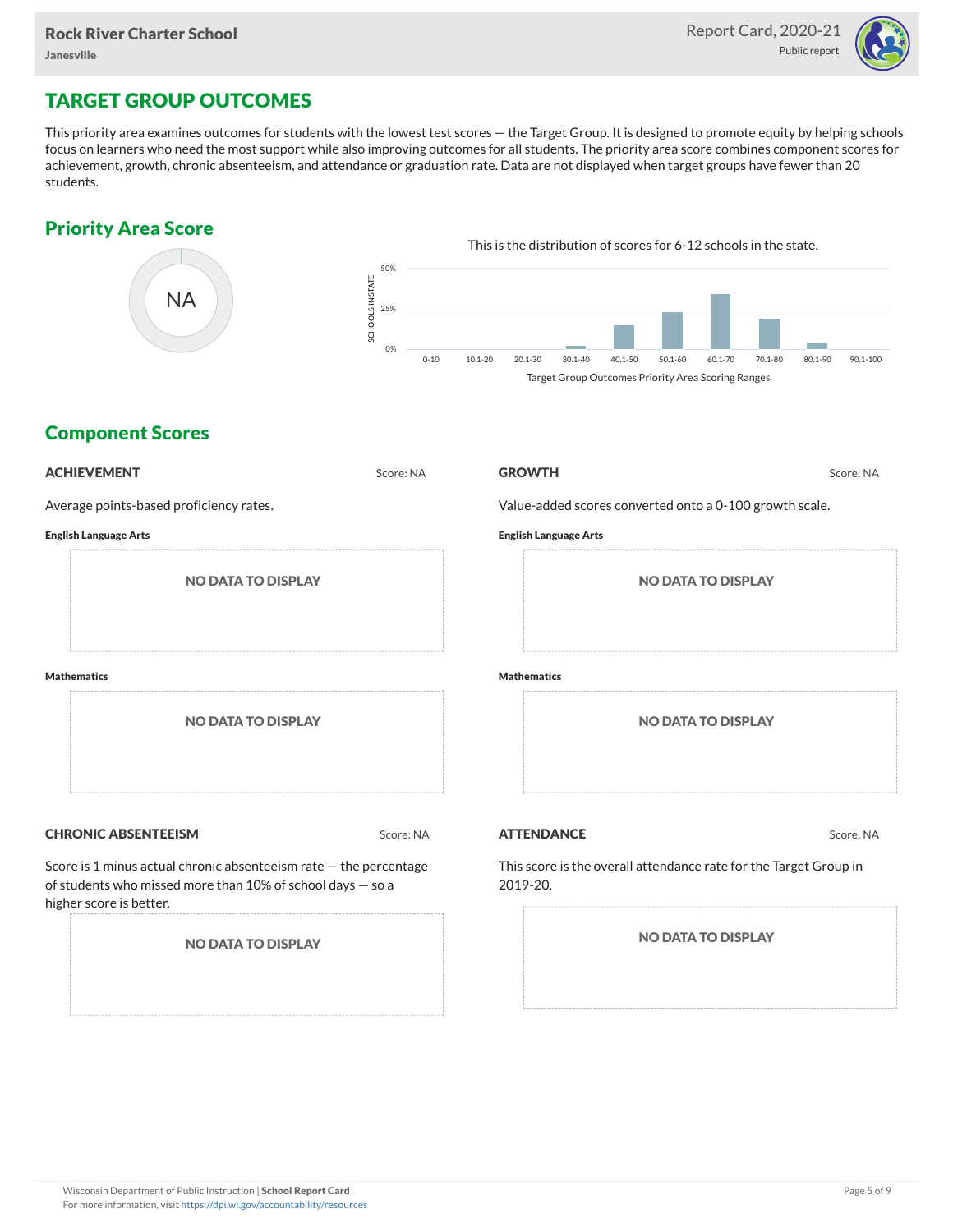

## TARGET GROUP OUTCOMES

This priority area examines outcomes for students with the lowest test scores — the Target Group. It is designed to promote equity by helping schools focus on learners who need the most support while also improving outcomes for all students. The priority area score combines component scores for achievement, growth, chronic absenteeism, and attendance or graduation rate. Data are not displayed when target groups have fewer than 20 students.

### Priority Area Score



### Component Scores

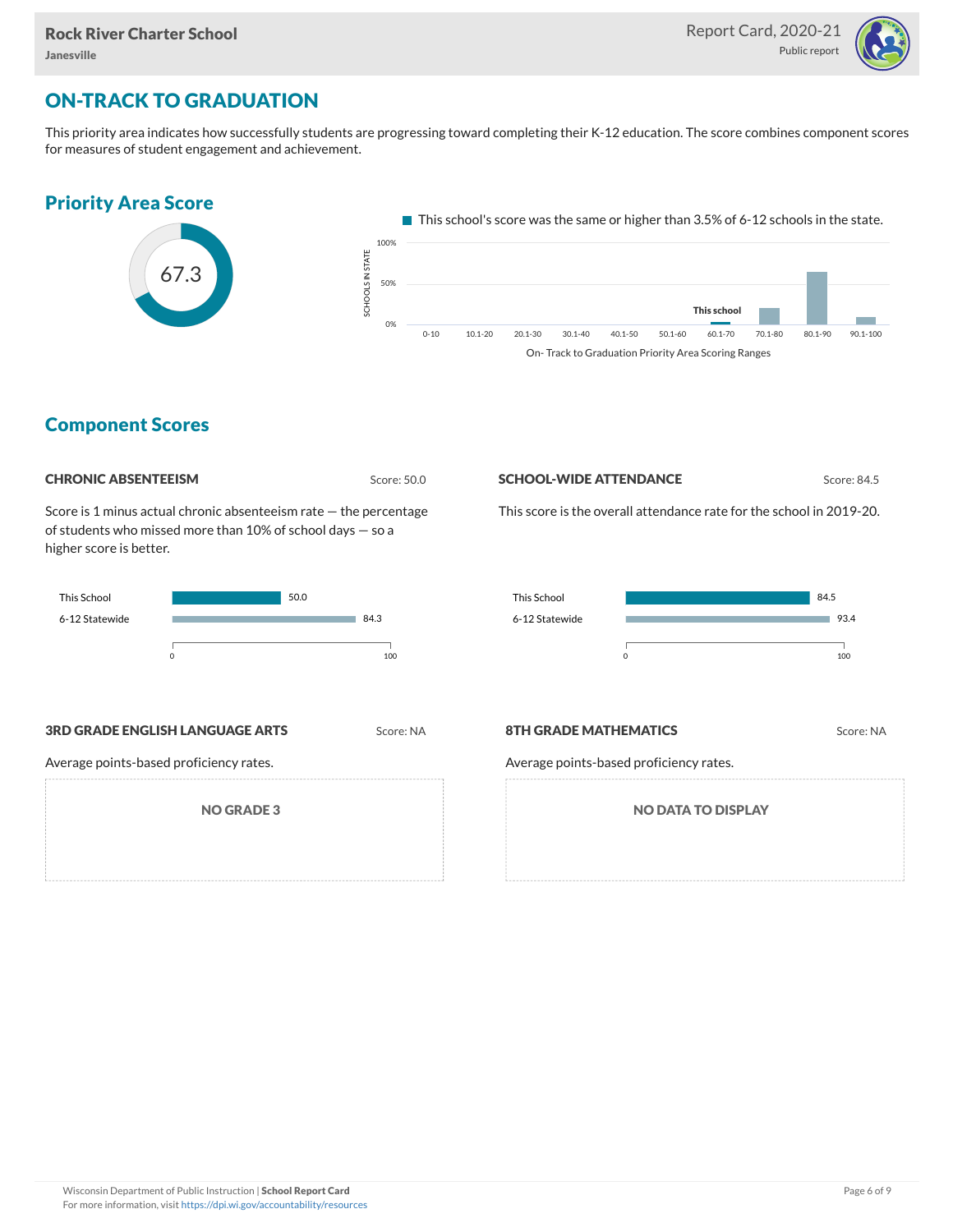

## ON-TRACK TO GRADUATION

This priority area indicates how successfully students are progressing toward completing their K-12 education. The score combines component scores for measures of student engagement and achievement.



#### Component Scores

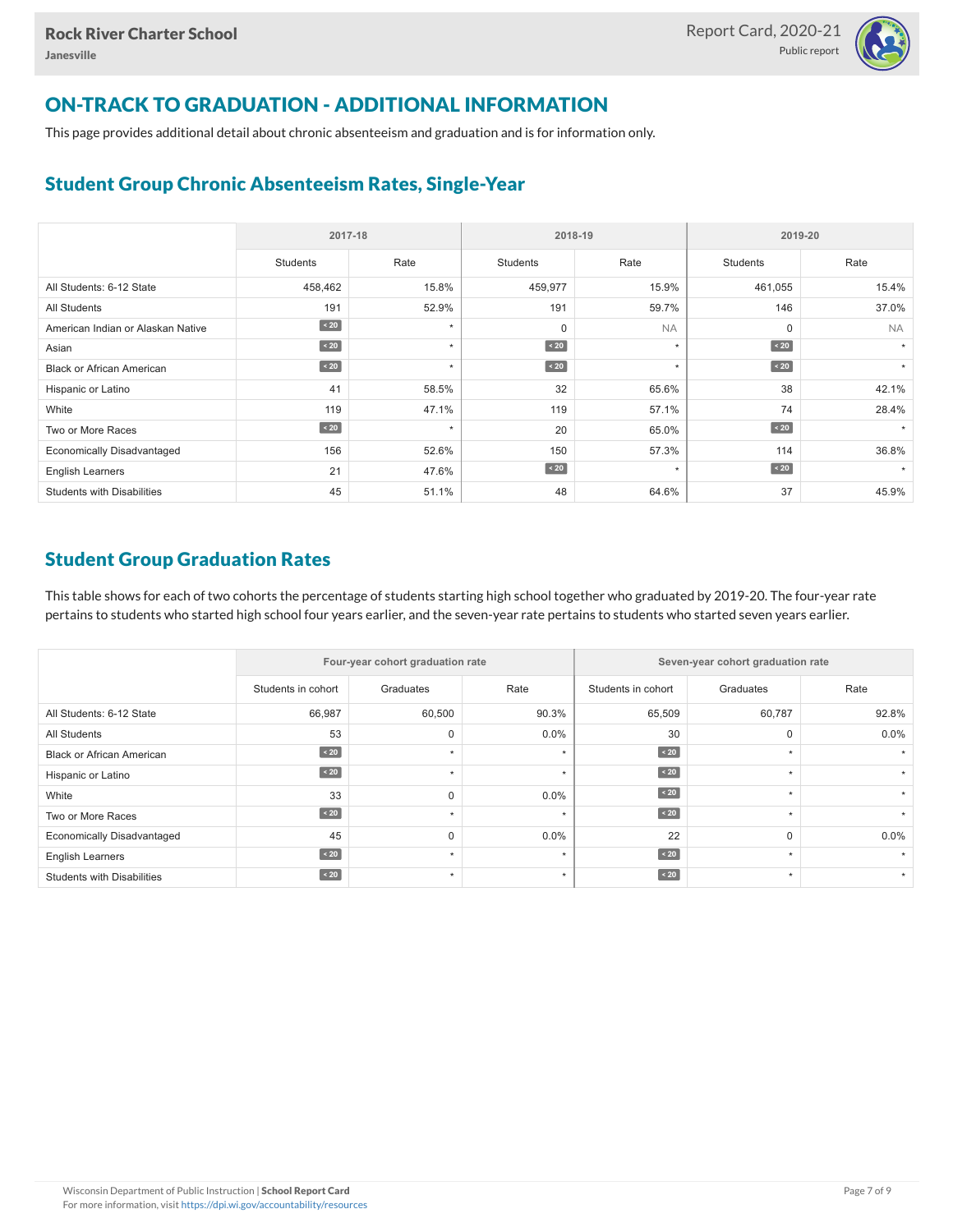

## ON-TRACK TO GRADUATION - ADDITIONAL INFORMATION

This page provides additional detail about chronic absenteeism and graduation and is for information only.

### Student Group Chronic Absenteeism Rates, Single-Year

|                                   | 2017-18     |         | 2018-19     |           | 2019-20         |           |  |
|-----------------------------------|-------------|---------|-------------|-----------|-----------------|-----------|--|
|                                   | Students    | Rate    | Students    | Rate      | <b>Students</b> | Rate      |  |
| All Students: 6-12 State          | 458,462     | 15.8%   | 459,977     | 15.9%     | 461,055         | 15.4%     |  |
| <b>All Students</b>               | 191         | 52.9%   | 191         | 59.7%     | 146             | 37.0%     |  |
| American Indian or Alaskan Native | $\sim 20$   | $\star$ | $\mathbf 0$ | <b>NA</b> | 0               | <b>NA</b> |  |
| Asian                             | $\angle 20$ | $\star$ | $\sim 20$   | $\star$   | $\angle 20$     | $\star$   |  |
| <b>Black or African American</b>  | $\sim 20$   | $\star$ | $\angle 20$ | $\star$   | $\angle 20$     | $\star$   |  |
| Hispanic or Latino                | 41          | 58.5%   | 32          | 65.6%     | 38              | 42.1%     |  |
| White                             | 119         | 47.1%   | 119         | 57.1%     | 74              | 28.4%     |  |
| Two or More Races                 | $\angle 20$ | $\star$ | 20          | 65.0%     | $\angle 20$     |           |  |
| <b>Economically Disadvantaged</b> | 156         | 52.6%   | 150         | 57.3%     | 114             | 36.8%     |  |
| <b>English Learners</b>           | 21          | 47.6%   | $\sim 20$   | $\star$   | $\angle 20$     |           |  |
| <b>Students with Disabilities</b> | 45          | 51.1%   | 48          | 64.6%     | 37              | 45.9%     |  |

### Student Group Graduation Rates

This table shows for each of two cohorts the percentage of students starting high school together who graduated by 2019-20. The four-year rate pertains to students who started high school four years earlier, and the seven-year rate pertains to students who started seven years earlier.

|                                   |                    | Four-year cohort graduation rate |         | Seven-year cohort graduation rate |           |         |  |  |  |
|-----------------------------------|--------------------|----------------------------------|---------|-----------------------------------|-----------|---------|--|--|--|
|                                   | Students in cohort | Graduates                        | Rate    | Students in cohort                | Graduates | Rate    |  |  |  |
| All Students: 6-12 State          | 66,987             | 60,500                           | 90.3%   | 65,509                            | 60,787    | 92.8%   |  |  |  |
| <b>All Students</b>               | 53                 |                                  | $0.0\%$ | 30                                | 0         | $0.0\%$ |  |  |  |
| <b>Black or African American</b>  | $\sim 20$          | $\star$                          | $\star$ | $\angle 20$                       |           |         |  |  |  |
| Hispanic or Latino                | $\sim 20$          | ٠                                | ٠       | $\angle 20$                       |           |         |  |  |  |
| White                             | 33                 |                                  | $0.0\%$ | $\angle 20$                       | $\star$   |         |  |  |  |
| Two or More Races                 | $\sim 20$          |                                  | ٠       | $\angle 20$                       | $\ddot{}$ |         |  |  |  |
| <b>Economically Disadvantaged</b> | 45                 |                                  | $0.0\%$ | 22                                | 0         | $0.0\%$ |  |  |  |
| <b>English Learners</b>           | $\sim 20$          | $\star$                          | $\star$ | $\angle 20$                       | $\ddot{}$ |         |  |  |  |
| <b>Students with Disabilities</b> | $\sim 20$          | ٠                                | $\star$ | $\angle 20$                       | $\star$   |         |  |  |  |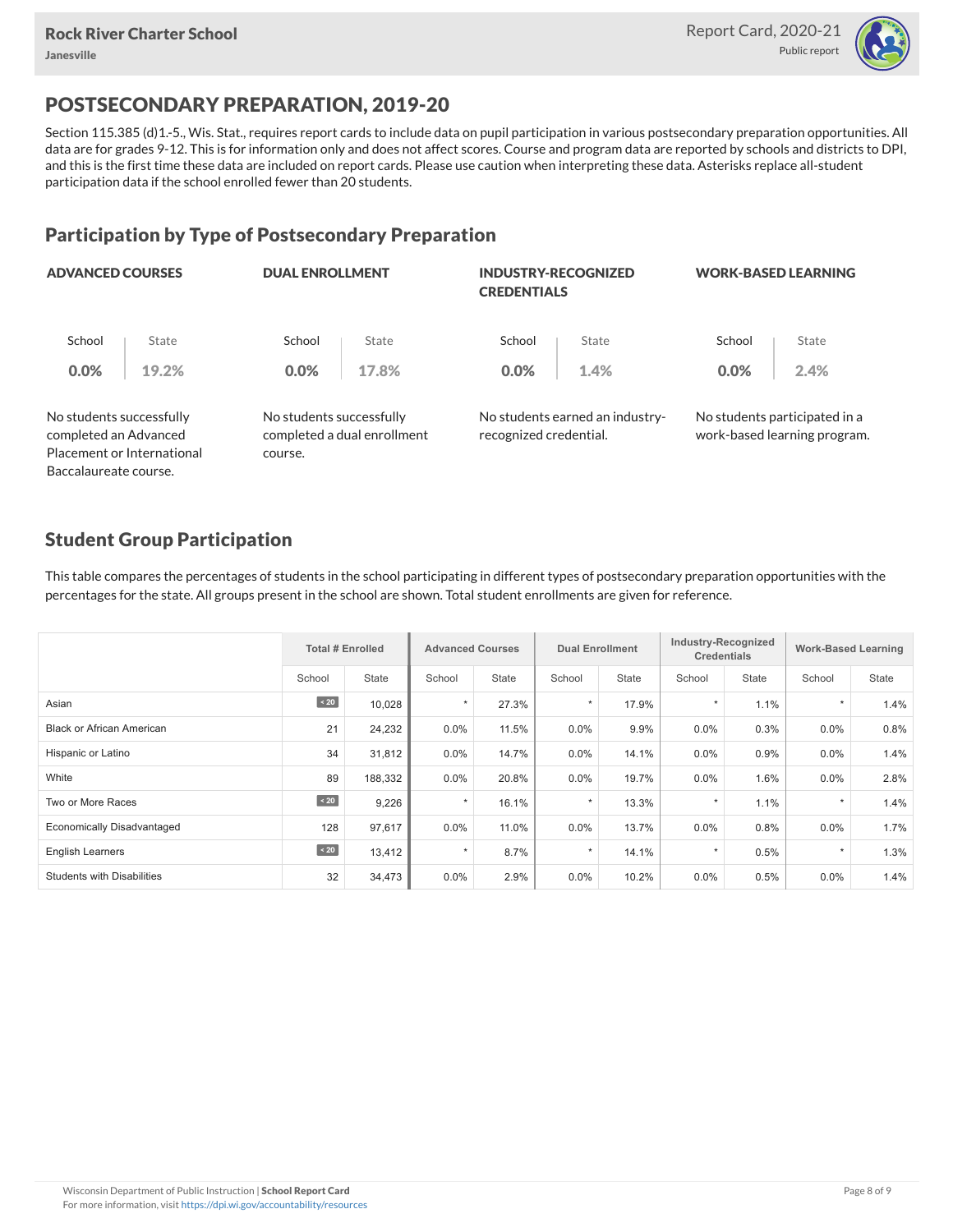

## POSTSECONDARY PREPARATION, 2019-20

Section 115.385 (d)1.-5., Wis. Stat., requires report cards to include data on pupil participation in various postsecondary preparation opportunities. All data are for grades 9-12. This is for information only and does not affect scores. Course and program data are reported by schools and districts to DPI, and this is the first time these data are included on report cards. Please use caution when interpreting these data. Asterisks replace all-student participation data if the school enrolled fewer than 20 students.

### Participation by Type of Postsecondary Preparation

| <b>ADVANCED COURSES</b>                           |                            | <b>DUAL ENROLLMENT</b>   |                             | <b>INDUSTRY-RECOGNIZED</b><br><b>CREDENTIALS</b> |                                 | <b>WORK-BASED LEARNING</b>                                    |       |  |
|---------------------------------------------------|----------------------------|--------------------------|-----------------------------|--------------------------------------------------|---------------------------------|---------------------------------------------------------------|-------|--|
| School                                            | State                      | School                   | State                       | School                                           | State                           | School                                                        | State |  |
| 0.0%                                              | 19.2%                      | 0.0%                     | 17.8%                       | 0.0%                                             | 1.4%                            | 0.0%                                                          | 2.4%  |  |
| No students successfully<br>completed an Advanced |                            | No students successfully | completed a dual enrollment | recognized credential.                           | No students earned an industry- | No students participated in a<br>work-based learning program. |       |  |
|                                                   | Placement or International | course.                  |                             |                                                  |                                 |                                                               |       |  |
| Baccalaureate course.                             |                            |                          |                             |                                                  |                                 |                                                               |       |  |

#### Student Group Participation

This table compares the percentages of students in the school participating in different types of postsecondary preparation opportunities with the percentages for the state. All groups present in the school are shown. Total student enrollments are given for reference.

|                                   | <b>Total # Enrolled</b> |              | <b>Advanced Courses</b> |              | <b>Dual Enrollment</b> |              | Industry-Recognized<br><b>Credentials</b> |       | <b>Work-Based Learning</b> |              |
|-----------------------------------|-------------------------|--------------|-------------------------|--------------|------------------------|--------------|-------------------------------------------|-------|----------------------------|--------------|
|                                   | School                  | <b>State</b> | School                  | <b>State</b> | School                 | <b>State</b> | School                                    | State | School                     | <b>State</b> |
| Asian                             | $\angle 20$             | 10,028       | $\star$                 | 27.3%        | $\star$                | 17.9%        | $\star$                                   | 1.1%  | $\star$                    | 1.4%         |
| <b>Black or African American</b>  | 21                      | 24,232       | $0.0\%$                 | 11.5%        | 0.0%                   | 9.9%         | 0.0%                                      | 0.3%  | $0.0\%$                    | 0.8%         |
| Hispanic or Latino                | 34                      | 31,812       | $0.0\%$                 | 14.7%        | $0.0\%$                | 14.1%        | 0.0%                                      | 0.9%  | $0.0\%$                    | 1.4%         |
| White                             | 89                      | 188,332      | 0.0%                    | 20.8%        | 0.0%                   | 19.7%        | 0.0%                                      | 1.6%  | 0.0%                       | 2.8%         |
| Two or More Races                 | $\leq 20$               | 9,226        | $\star$                 | 16.1%        | $\star$                | 13.3%        |                                           | 1.1%  | $\star$                    | 1.4%         |
| <b>Economically Disadvantaged</b> | 128                     | 97,617       | $0.0\%$                 | 11.0%        | 0.0%                   | 13.7%        | 0.0%                                      | 0.8%  | 0.0%                       | 1.7%         |
| <b>English Learners</b>           | $\sim 20$               | 13,412       | $\star$                 | 8.7%         | $\star$                | 14.1%        |                                           | 0.5%  | $\star$                    | 1.3%         |
| <b>Students with Disabilities</b> | 32                      | 34,473       | $0.0\%$                 | 2.9%         | 0.0%                   | 10.2%        | 0.0%                                      | 0.5%  | $0.0\%$                    | 1.4%         |